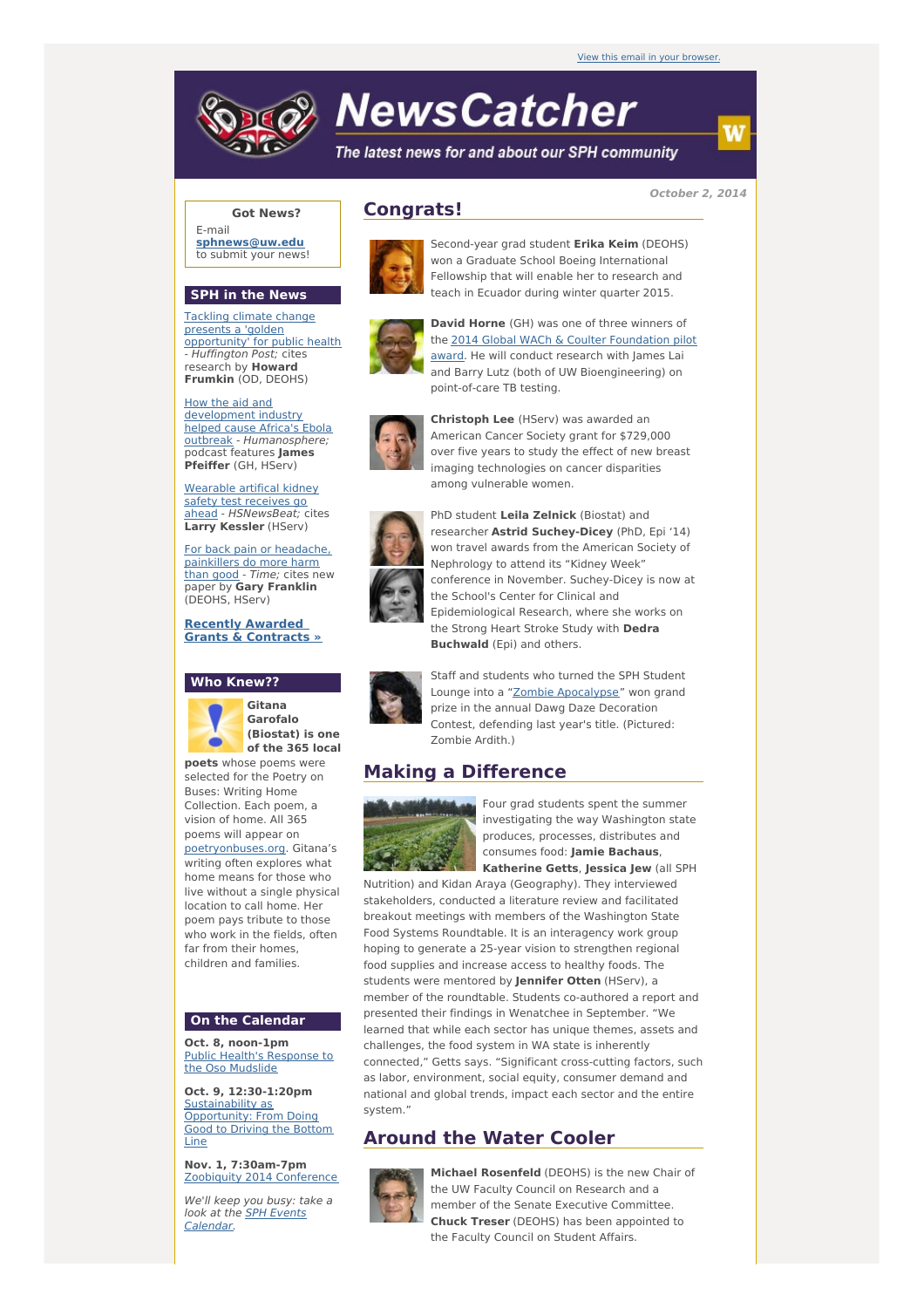

# **NewsCatcher**

The latest news for and about our SPH community

**October 2, 2014**

### **Got News?**

E-mail **[sphnews@uw.edu](mailto:sphnews@uw.edu)** to submit your news!

#### **SPH in the News**

Tackling climate change presents a 'golden [opportunity'](http://engage.washington.edu/site/R?i=JW3SMgPa3a_cLRrcI3A8jg) for public health - Huffington Post; cites research by **Howard Frumkin** (OD, DEOHS)

How the aid and development industry helped cause Africa's Ebola outbreak - [Humanosphere;](http://engage.washington.edu/site/R?i=eqINx0TDJsXedHD5HZd_6A) podcast features **James Pfeiffer** (GH, HServ)

Wearable artifical kidney safety test receives go ahead - [HSNewsBeat;](http://engage.washington.edu/site/R?i=Mc3B89u42gaqIqJvwCUgYQ) cites **Larry Kessler** (HServ)

For back pain or [headache,](http://engage.washington.edu/site/R?i=Fz053UBWtRahr5v-6eQPVQ) painkillers do more harm than good - Time; cites new paper by **Gary Franklin** (DEOHS, HServ)

**Recently Awarded Grants & [Contracts](http://engage.washington.edu/site/R?i=VYLEEkrfNECU5YKe18s5JQ) »**

## **Who Knew??**



**Garofalo (Biostat) is one of the 365 local**

**poets** whose poems were selected for the Poetry on Buses: Writing Home Collection. Each poem, a vision of home. All 365 poems will appear on [poetryonbuses.org](http://engage.washington.edu/site/R?i=Ar5yFAhgXz4ifIURmUk11A). Gitana's writing often explores what home means for those who live without a single physical location to call home. Her poem pays tribute to those who work in the fields, often far from their homes children and families.

## **On the Calendar**

**Oct. 8, noon-1pm** Public Health's [Response](http://engage.washington.edu/site/R?i=Se5tBMwtogKvkv1dnhurhQ) to the Oso Mudslide

**Oct. 9, 12:30-1:20pm** [Sustainability](http://engage.washington.edu/site/R?i=ASRkBfWVdEyIUjECI_b5og) as Opportunity: From Doing Good to Driving the Bottom Line

**Nov. 1, 7:30am-7pm** Zoobiquity 2014 [Conference](http://engage.washington.edu/site/R?i=URFE5EkUPgFKmLC3apTsEw)

We'll keep you busy: take a look at the **SPH Events** [Calendar.](http://engage.washington.edu/site/R?i=-yfCrk-QE7-q8kHPD4kCrg)



**Congrats!**

Second-year grad student **Erika Keim** (DEOHS) won a Graduate School Boeing International Fellowship that will enable her to research and teach in Ecuador during winter quarter 2015.



**David Horne** (GH) was one of three winners of the 2014 Global WACh & Coulter [Foundation](http://engage.washington.edu/site/R?i=JBBKkzrd0pUZrUUvHz-jng) pilot award. He will conduct research with James Lai and Barry Lutz (both of UW Bioengineering) on point-of-care TB testing.



**Christoph Lee** (HServ) was awarded an American Cancer Society grant for \$729,000 over five years to study the effect of new breast imaging technologies on cancer disparities among vulnerable women.



PhD student **Leila Zelnick** (Biostat) and researcher **Astrid Suchey-Dicey** (PhD, Epi '14) won travel awards from the American Society of Nephrology to attend its "Kidney Week" conference in November. Suchey-Dicey is now at the School's Center for Clinical and Epidemiological Research, where she works on the Strong Heart Stroke Study with **Dedra Buchwald** (Epi) and others.

Staff and students who turned the SPH Student Lounge into a "Zombie [Apocalypse](http://engage.washington.edu/site/R?i=vWWVLcAXiIEkngYh-0SHJg)" won grand prize in the annual Dawg Daze Decoration Contest, defending last year's title. (Pictured: Zombie Ardith.)

## **Making a Difference**



Four grad students spent the summer investigating the way Washington state produces, processes, distributes and consumes food: **Jamie Bachaus**, **Katherine Getts**, **Jessica Jew** (all SPH

Nutrition) and Kidan Araya (Geography). They interviewed stakeholders, conducted a literature review and facilitated breakout meetings with members of the Washington State Food Systems Roundtable. It is an interagency work group hoping to generate a 25-year vision to strengthen regional food supplies and increase access to healthy foods. The students were mentored by **Jennifer Otten** (HServ), a member of the roundtable. Students co-authored a report and presented their findings in Wenatchee in September. "We learned that while each sector has unique themes, assets and challenges, the food system in WA state is inherently connected," Getts says. "Significant cross-cutting factors, such as labor, environment, social equity, consumer demand and national and global trends, impact each sector and the entire system."

## **Around the Water Cooler**



**Michael Rosenfeld** (DEOHS) is the new Chair of the UW Faculty Council on Research and a member of the Senate Executive Committee. **Chuck Treser** (DEOHS) has been appointed to the Faculty Council on Student Affairs.